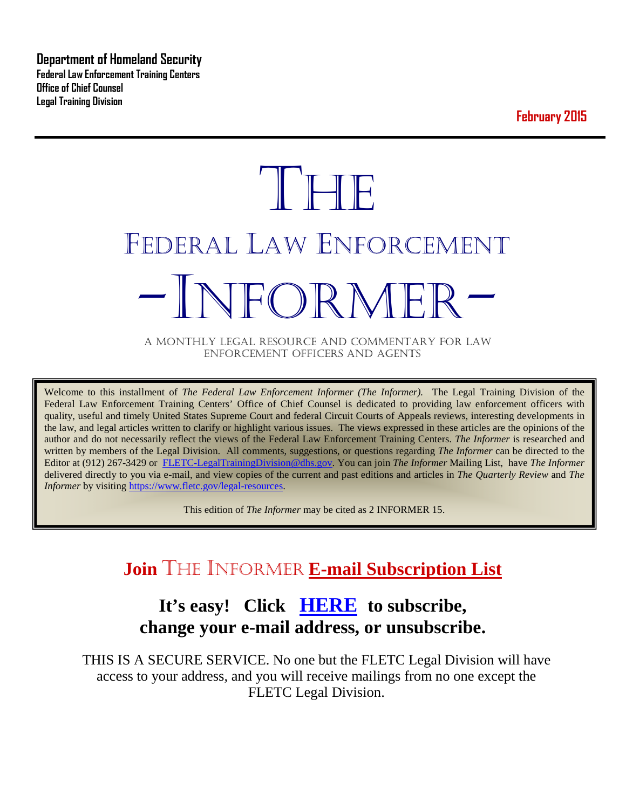**Department of Homeland Security Federal Law Enforcement Training Centers Office of Chief Counsel Legal Training Division** 

**February 2015**

# **THE** FEDERAL LAW ENFORCEMENT -INFORMER- A MONTHLY LEGAL RESOURCE AND COMMENTARY FOR LAW

ENFORCEMENT OFFICERS AND AGENTS

Welcome to this installment of *The Federal Law Enforcement Informer (The Informer).* The Legal Training Division of the Federal Law Enforcement Training Centers' Office of Chief Counsel is dedicated to providing law enforcement officers with quality, useful and timely United States Supreme Court and federal Circuit Courts of Appeals reviews, interesting developments in the law, and legal articles written to clarify or highlight various issues. The views expressed in these articles are the opinions of the author and do not necessarily reflect the views of the Federal Law Enforcement Training Centers. *The Informer* is researched and written by members of the Legal Division. All comments, suggestions, or questions regarding *The Informer* can be directed to the Editor at (912) 267-3429 or [FLETC-LegalTrainingDivision@dhs.gov.](mailto:FLETC-LegalTrainingDivision@dhs.gov) You can join *The Informer* Mailing List, have *The Informer* delivered directly to you via e-mail, and view copies of the current and past editions and articles in *The Quarterly Review* and *The Informer* by visiting [https://www.fletc.gov/legal-resources.](https://www.fletc.gov/legal-resources)

This edition of *The Informer* may be cited as 2 INFORMER 15.

# **Join** THE INFORMER **E-mail Subscription List**

# **It's easy! Click [HERE](http://peach.ease.lsoft.com/scripts/wa.exe?SUBED1=fletclgd&A=1) to subscribe, change your e-mail address, or unsubscribe.**

THIS IS A SECURE SERVICE. No one but the FLETC Legal Division will have access to your address, and you will receive mailings from no one except the FLETC Legal Division.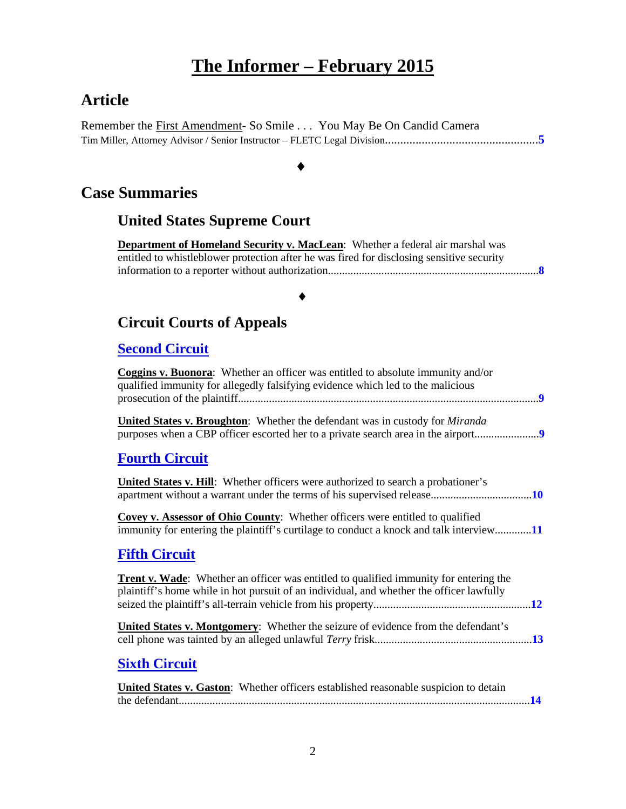# **The Informer – February 2015**

# **Article**

Remember the First Amendment- So Smile . . . You May Be On Candid Camera Tim Miller, Attorney Advisor / Senior Instructor – FLETC Legal Division..................................................**[5](#page-4-0)**

#### ♦

## **Case Summaries**

## **United States Supreme Court**

**Department of Homeland Security v. MacLean**: Whether a federal air marshal was entitled to whistleblower protection after he was fired for disclosing sensitive security information to a reporter without authorization...........................................................................**[8](#page-7-0)**

#### ♦

## **[Circuit Courts of Appeals](#page-7-1)**

#### **Second Circuit**

| Coggins v. Buonora: Whether an officer was entitled to absolute immunity and/or<br>qualified immunity for allegedly falsifying evidence which led to the malicious                       |
|------------------------------------------------------------------------------------------------------------------------------------------------------------------------------------------|
| <b>United States v. Broughton:</b> Whether the defendant was in custody for <i>Miranda</i>                                                                                               |
| <b>Fourth Circuit</b>                                                                                                                                                                    |
| <b>United States v. Hill:</b> Whether officers were authorized to search a probationer's                                                                                                 |
| <b>Covey v. Assessor of Ohio County:</b> Whether officers were entitled to qualified<br>immunity for entering the plaintiff's curtilage to conduct a knock and talk interview11          |
| <b>Fifth Circuit</b>                                                                                                                                                                     |
| <b>Trent v. Wade:</b> Whether an officer was entitled to qualified immunity for entering the<br>plaintiff's home while in hot pursuit of an individual, and whether the officer lawfully |
| <b>United States v. Montgomery:</b> Whether the seizure of evidence from the defendant's                                                                                                 |
| <b>Sixth Circuit</b>                                                                                                                                                                     |
| United States v. Gaston: Whether officers established reasonable suspicion to detain                                                                                                     |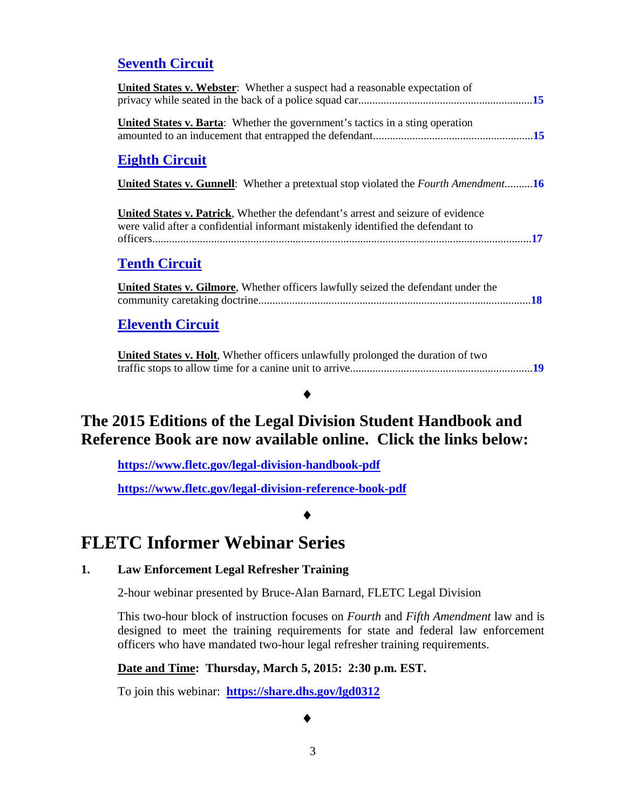#### **Seventh Circuit**

| <b>United States v. Webster:</b> Whether a suspect had a reasonable expectation of                                                                                   |
|----------------------------------------------------------------------------------------------------------------------------------------------------------------------|
| <b>United States v. Barta:</b> Whether the government's tactics in a sting operation                                                                                 |
| <b>Eighth Circuit</b>                                                                                                                                                |
| <b>United States v. Gunnell:</b> Whether a pretextual stop violated the <i>Fourth Amendment</i> .16                                                                  |
| United States v. Patrick, Whether the defendant's arrest and seizure of evidence<br>were valid after a confidential informant mistakenly identified the defendant to |
| <b>Tenth Circuit</b>                                                                                                                                                 |
| <b>United States v. Gilmore, Whether officers lawfully seized the defendant under the</b>                                                                            |

#### **Eleventh Circuit**

**United States v. Holt**, Whether officers unlawfully prolonged the duration of two traffic stops to allow time for a canine unit to arrive.................................................................**[19](#page-18-0)**

#### ♦

# **The 2015 Editions of the Legal Division Student Handbook and Reference Book are now available online. Click the links below:**

**<https://www.fletc.gov/legal-division-handbook-pdf>**

**<https://www.fletc.gov/legal-division-reference-book-pdf>**

♦

# **FLETC Informer Webinar Series**

#### **1. Law Enforcement Legal Refresher Training**

2-hour webinar presented by Bruce-Alan Barnard, FLETC Legal Division

This two-hour block of instruction focuses on *Fourth* and *Fifth Amendment* law and is designed to meet the training requirements for state and federal law enforcement officers who have mandated two-hour legal refresher training requirements.

**Date and Time: Thursday, March 5, 2015: 2:30 p.m. EST.**

To join this webinar: **<https://share.dhs.gov/lgd0312>**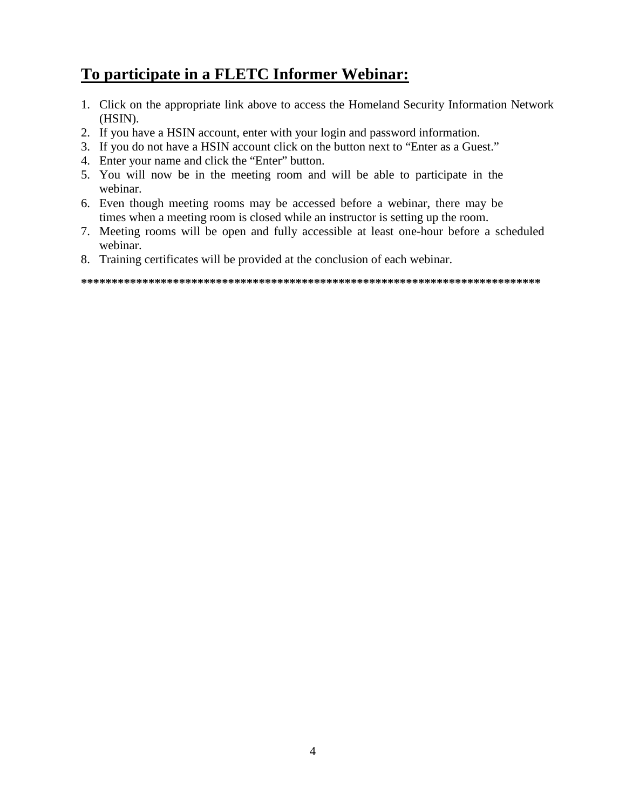# **To participate in a FLETC Informer Webinar:**

- 1. Click on the appropriate link above to access the Homeland Security Information Network (HSIN).
- 2. If you have a HSIN account, enter with your login and password information.
- 3. If you do not have a HSIN account click on the button next to "Enter as a Guest."
- 4. Enter your name and click the "Enter" button.
- 5. You will now be in the meeting room and will be able to participate in the webinar.
- 6. Even though meeting rooms may be accessed before a webinar, there may be times when a meeting room is closed while an instructor is setting up the room.
- 7. Meeting rooms will be open and fully accessible at least one-hour before a scheduled webinar.
- 8. Training certificates will be provided at the conclusion of each webinar.

**\*\*\*\*\*\*\*\*\*\*\*\*\*\*\*\*\*\*\*\*\*\*\*\*\*\*\*\*\*\*\*\*\*\*\*\*\*\*\*\*\*\*\*\*\*\*\*\*\*\*\*\*\*\*\*\*\*\*\*\*\*\*\*\*\*\*\*\*\*\*\*\*\*\*\***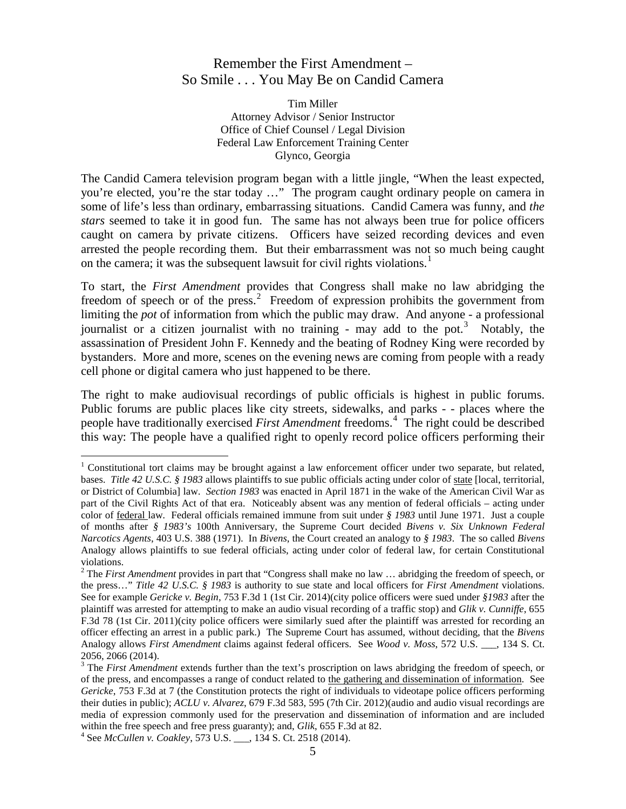#### <span id="page-4-0"></span>Remember the First Amendment – So Smile . . . You May Be on Candid Camera

Tim Miller Attorney Advisor / Senior Instructor Office of Chief Counsel / Legal Division Federal Law Enforcement Training Center Glynco, Georgia

The Candid Camera television program began with a little jingle, "When the least expected, you're elected, you're the star today …" The program caught ordinary people on camera in some of life's less than ordinary, embarrassing situations. Candid Camera was funny, and *the stars* seemed to take it in good fun. The same has not always been true for police officers caught on camera by private citizens. Officers have seized recording devices and even arrested the people recording them. But their embarrassment was not so much being caught on the camera; it was the subsequent lawsuit for civil rights violations.<sup>[1](#page-4-1)</sup>

To start, the *First Amendment* provides that Congress shall make no law abridging the freedom of speech or of the press.<sup>[2](#page-4-2)</sup> Freedom of expression prohibits the government from limiting the *pot* of information from which the public may draw. And anyone - a professional journalist or a citizen journalist with no training - may add to the pot.<sup>[3](#page-4-3)</sup> Notably, the assassination of President John F. Kennedy and the beating of Rodney King were recorded by bystanders. More and more, scenes on the evening news are coming from people with a ready cell phone or digital camera who just happened to be there.

The right to make audiovisual recordings of public officials is highest in public forums. Public forums are public places like city streets, sidewalks, and parks - - places where the people have traditionally exercised *First Amendment* freedoms.<sup>[4](#page-4-4)</sup> The right could be described this way: The people have a qualified right to openly record police officers performing their

 $\overline{a}$ 

<span id="page-4-1"></span> $1$  Constitutional tort claims may be brought against a law enforcement officer under two separate, but related, bases. *Title 42 U.S.C. § 1983* allows plaintiffs to sue public officials acting under color of state [local, territorial, or District of Columbia] law. *Section 1983* was enacted in April 1871 in the wake of the American Civil War as part of the Civil Rights Act of that era. Noticeably absent was any mention of federal officials – acting under color of federal law. Federal officials remained immune from suit under *§ 1983* until June 1971. Just a couple of months after *§ 1983's* 100th Anniversary, the Supreme Court decided *Bivens v. Six Unknown Federal Narcotics Agents*, 403 U.S. 388 (1971). In *Bivens*, the Court created an analogy to *§ 1983*. The so called *Bivens* Analogy allows plaintiffs to sue federal officials, acting under color of federal law, for certain Constitutional violations.

<span id="page-4-2"></span><sup>&</sup>lt;sup>2</sup> The *First Amendment* provides in part that "Congress shall make no law ... abridging the freedom of speech, or the press…" *Title 42 U.S.C. § 1983* is authority to sue state and local officers for *First Amendment* violations. See for example *Gericke v. Begin*, 753 F.3d 1 (1st Cir. 2014)(city police officers were sued under *§1983* after the plaintiff was arrested for attempting to make an audio visual recording of a traffic stop) and *Glik v. Cunniffe*, 655 F.3d 78 (1st Cir. 2011)(city police officers were similarly sued after the plaintiff was arrested for recording an officer effecting an arrest in a public park.) The Supreme Court has assumed, without deciding, that the *Bivens* Analogy allows *First Amendment* claims against federal officers. See *Wood v. Moss*, 572 U.S. \_\_\_, 134 S. Ct. 2056, 2066 (2014).

<span id="page-4-3"></span><sup>3</sup> The *First Amendment* extends further than the text's proscription on laws abridging the freedom of speech, or of the press, and encompasses a range of conduct related to the gathering and dissemination of information. See *Gericke*, 753 F.3d at 7 (the Constitution protects the right of individuals to videotape police officers performing their duties in public); *ACLU v. Alvarez*, 679 F.3d 583, 595 (7th Cir. 2012)(audio and audio visual recordings are media of expression commonly used for the preservation and dissemination of information and are included within the free speech and free press guaranty); and, *Glik*, 655 F.3d at 82. <sup>4</sup> See *McCullen v. Coakley*, 573 U.S. \_\_\_, 134 S. Ct. 2518 (2014).

<span id="page-4-4"></span>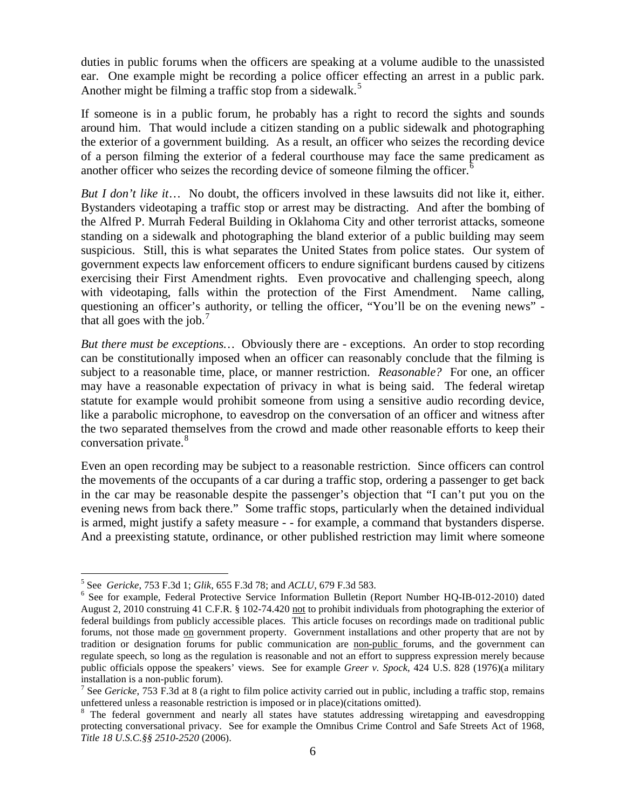duties in public forums when the officers are speaking at a volume audible to the unassisted ear. One example might be recording a police officer effecting an arrest in a public park. Another might be filming a traffic stop from a sidewalk.<sup>[5](#page-5-0)</sup>

If someone is in a public forum, he probably has a right to record the sights and sounds around him. That would include a citizen standing on a public sidewalk and photographing the exterior of a government building. As a result, an officer who seizes the recording device of a person filming the exterior of a federal courthouse may face the same predicament as another officer who seizes the recording device of someone filming the officer.<sup>[6](#page-5-1)</sup>

*But I don't like it*… No doubt, the officers involved in these lawsuits did not like it, either. Bystanders videotaping a traffic stop or arrest may be distracting. And after the bombing of the Alfred P. Murrah Federal Building in Oklahoma City and other terrorist attacks, someone standing on a sidewalk and photographing the bland exterior of a public building may seem suspicious. Still, this is what separates the United States from police states. Our system of government expects law enforcement officers to endure significant burdens caused by citizens exercising their First Amendment rights. Even provocative and challenging speech, along with videotaping, falls within the protection of the First Amendment. Name calling, questioning an officer's authority, or telling the officer, "You'll be on the evening news" that all goes with the job. $<sup>7</sup>$  $<sup>7</sup>$  $<sup>7</sup>$ </sup>

*But there must be exceptions…* Obviously there are - exceptions. An order to stop recording can be constitutionally imposed when an officer can reasonably conclude that the filming is subject to a reasonable time, place, or manner restriction. *Reasonable?* For one, an officer may have a reasonable expectation of privacy in what is being said. The federal wiretap statute for example would prohibit someone from using a sensitive audio recording device, like a parabolic microphone, to eavesdrop on the conversation of an officer and witness after the two separated themselves from the crowd and made other reasonable efforts to keep their conversation private.<sup>[8](#page-5-3)</sup>

Even an open recording may be subject to a reasonable restriction. Since officers can control the movements of the occupants of a car during a traffic stop, ordering a passenger to get back in the car may be reasonable despite the passenger's objection that "I can't put you on the evening news from back there." Some traffic stops, particularly when the detained individual is armed, might justify a safety measure - - for example, a command that bystanders disperse. And a preexisting statute, ordinance, or other published restriction may limit where someone

 $\overline{a}$ 

<span id="page-5-1"></span><span id="page-5-0"></span><sup>&</sup>lt;sup>5</sup> See *Gericke*, 753 F.3d 1; *Glik*, 655 F.3d 78; and *ACLU*, 679 F.3d 583.<br><sup>6</sup> See for example, Federal Protective Service Information Bulletin (Report Number HQ-IB-012-2010) dated August 2, 2010 construing 41 C.F.R. § 102-74.420 not to prohibit individuals from photographing the exterior of federal buildings from publicly accessible places. This article focuses on recordings made on traditional public forums, not those made on government property. Government installations and other property that are not by tradition or designation forums for public communication are non-public forums, and the government can regulate speech, so long as the regulation is reasonable and not an effort to suppress expression merely because public officials oppose the speakers' views. See for example *Greer v. Spock*, 424 U.S. 828 (1976)(a military installation is a non-public forum).<br><sup>7</sup> See *Gericke*, 753 F.3d at 8 (a right to film police activity carried out in public, including a traffic stop, remains

<span id="page-5-2"></span>unfettered unless a reasonable restriction is imposed or in place)(citations omitted).

<span id="page-5-3"></span><sup>&</sup>lt;sup>8</sup> The federal government and nearly all states have statutes addressing wiretapping and eavesdropping protecting conversational privacy. See for example the Omnibus Crime Control and Safe Streets Act of 1968, *Title 18 U.S.C.§§ 2510-2520* (2006).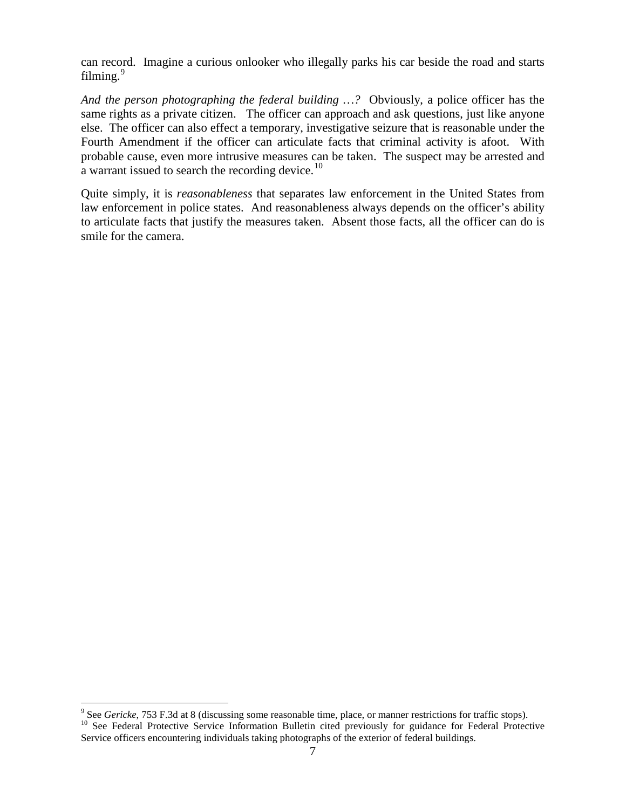can record. Imagine a curious onlooker who illegally parks his car beside the road and starts filming. $9$ 

*And the person photographing the federal building …?* Obviously, a police officer has the same rights as a private citizen. The officer can approach and ask questions, just like anyone else. The officer can also effect a temporary, investigative seizure that is reasonable under the Fourth Amendment if the officer can articulate facts that criminal activity is afoot. With probable cause, even more intrusive measures can be taken. The suspect may be arrested and a warrant issued to search the recording device.<sup>[10](#page-6-1)</sup>

Quite simply, it is *reasonableness* that separates law enforcement in the United States from law enforcement in police states. And reasonableness always depends on the officer's ability to articulate facts that justify the measures taken. Absent those facts, all the officer can do is smile for the camera.

<span id="page-6-0"></span> $\degree$  See Gericke, 753 F.3d at 8 (discussing some reasonable time, place, or manner restrictions for traffic stops).

<span id="page-6-1"></span><sup>&</sup>lt;sup>10</sup> See Federal Protective Service Information Bulletin cited previously for guidance for Federal Protective Service officers encountering individuals taking photographs of the exterior of federal buildings.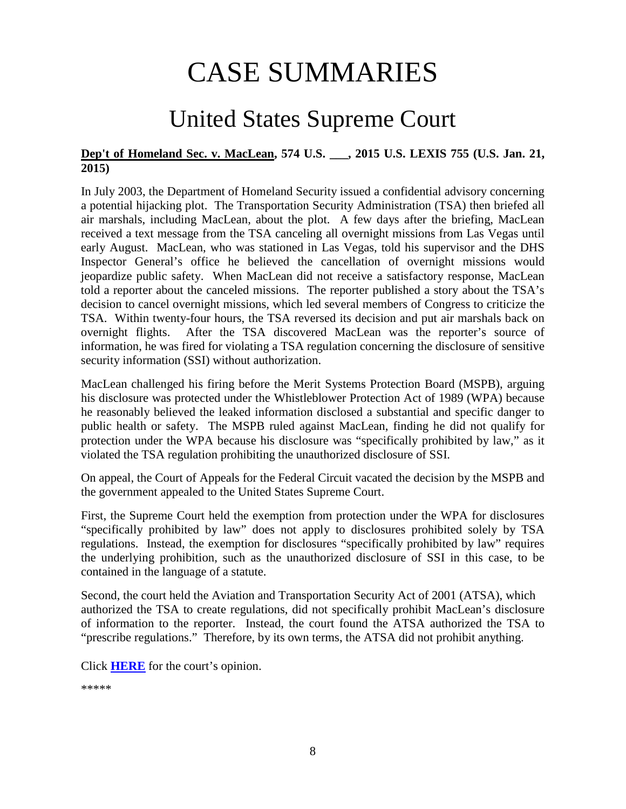# CASE SUMMARIES

# United States Supreme Court

#### <span id="page-7-1"></span><span id="page-7-0"></span>**Dep't of Homeland Sec. v. MacLean, 574 U.S. \_\_\_, 2015 U.S. LEXIS 755 (U.S. Jan. 21, 2015)**

In July 2003, the Department of Homeland Security issued a confidential advisory concerning a potential hijacking plot. The Transportation Security Administration (TSA) then briefed all air marshals, including MacLean, about the plot. A few days after the briefing, MacLean received a text message from the TSA canceling all overnight missions from Las Vegas until early August. MacLean, who was stationed in Las Vegas, told his supervisor and the DHS Inspector General's office he believed the cancellation of overnight missions would jeopardize public safety. When MacLean did not receive a satisfactory response, MacLean told a reporter about the canceled missions. The reporter published a story about the TSA's decision to cancel overnight missions, which led several members of Congress to criticize the TSA. Within twenty-four hours, the TSA reversed its decision and put air marshals back on overnight flights. After the TSA discovered MacLean was the reporter's source of information, he was fired for violating a TSA regulation concerning the disclosure of sensitive security information (SSI) without authorization.

MacLean challenged his firing before the Merit Systems Protection Board (MSPB), arguing his disclosure was protected under the Whistleblower Protection Act of 1989 (WPA) because he reasonably believed the leaked information disclosed a substantial and specific danger to public health or safety. The MSPB ruled against MacLean, finding he did not qualify for protection under the WPA because his disclosure was "specifically prohibited by law," as it violated the TSA regulation prohibiting the unauthorized disclosure of SSI.

On appeal, the Court of Appeals for the Federal Circuit vacated the decision by the MSPB and the government appealed to the United States Supreme Court.

First, the Supreme Court held the exemption from protection under the WPA for disclosures "specifically prohibited by law" does not apply to disclosures prohibited solely by TSA regulations. Instead, the exemption for disclosures "specifically prohibited by law" requires the underlying prohibition, such as the unauthorized disclosure of SSI in this case, to be contained in the language of a statute.

Second, the court held the Aviation and Transportation Security Act of 2001 (ATSA), which authorized the TSA to create regulations, did not specifically prohibit MacLean's disclosure of information to the reporter. Instead, the court found the ATSA authorized the TSA to "prescribe regulations." Therefore, by its own terms, the ATSA did not prohibit anything.

Click **[HERE](http://www.supremecourt.gov/opinions/14pdf/13-894_e2qg.pdf)** for the court's opinion.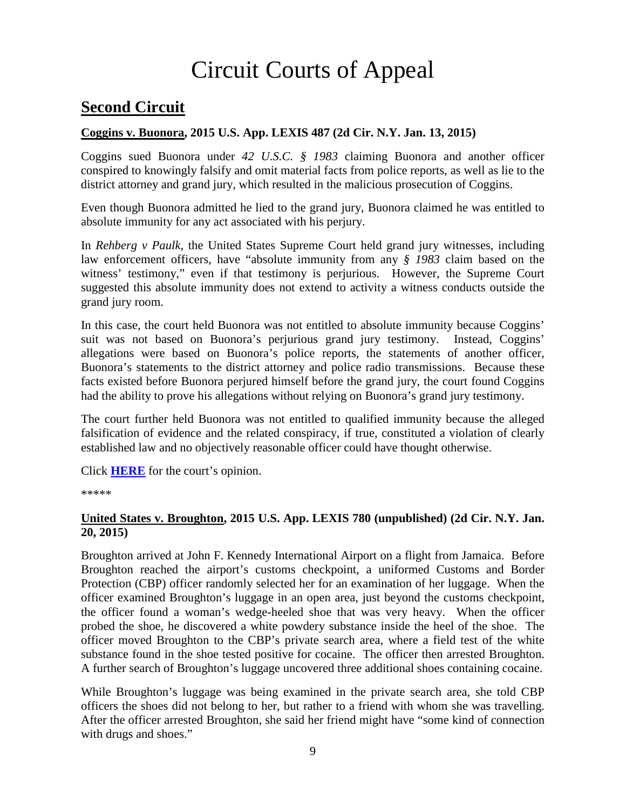# Circuit Courts of Appeal

# **Second Circuit**

#### <span id="page-8-0"></span>**Coggins v. Buonora, 2015 U.S. App. LEXIS 487 (2d Cir. N.Y. Jan. 13, 2015)**

Coggins sued Buonora under *42 U.S.C. § 1983* claiming Buonora and another officer conspired to knowingly falsify and omit material facts from police reports, as well as lie to the district attorney and grand jury, which resulted in the malicious prosecution of Coggins.

Even though Buonora admitted he lied to the grand jury, Buonora claimed he was entitled to absolute immunity for any act associated with his perjury.

In *Rehberg v Paulk*, the United States Supreme Court held grand jury witnesses, including law enforcement officers, have "absolute immunity from any *§ 1983* claim based on the witness' testimony," even if that testimony is perjurious. However, the Supreme Court suggested this absolute immunity does not extend to activity a witness conducts outside the grand jury room.

In this case, the court held Buonora was not entitled to absolute immunity because Coggins' suit was not based on Buonora's perjurious grand jury testimony. Instead, Coggins' allegations were based on Buonora's police reports, the statements of another officer, Buonora's statements to the district attorney and police radio transmissions. Because these facts existed before Buonora perjured himself before the grand jury, the court found Coggins had the ability to prove his allegations without relying on Buonora's grand jury testimony.

The court further held Buonora was not entitled to qualified immunity because the alleged falsification of evidence and the related conspiracy, if true, constituted a violation of clearly established law and no objectively reasonable officer could have thought otherwise.

Click **[HERE](http://cases.justia.com/federal/appellate-courts/ca2/13-4635/13-4635-2015-01-13.pdf?ts=1421163010)** for the court's opinion.

\*\*\*\*\*

#### <span id="page-8-1"></span>**United States v. Broughton, 2015 U.S. App. LEXIS 780 (unpublished) (2d Cir. N.Y. Jan. 20, 2015)**

Broughton arrived at John F. Kennedy International Airport on a flight from Jamaica. Before Broughton reached the airport's customs checkpoint, a uniformed Customs and Border Protection (CBP) officer randomly selected her for an examination of her luggage. When the officer examined Broughton's luggage in an open area, just beyond the customs checkpoint, the officer found a woman's wedge-heeled shoe that was very heavy. When the officer probed the shoe, he discovered a white powdery substance inside the heel of the shoe. The officer moved Broughton to the CBP's private search area, where a field test of the white substance found in the shoe tested positive for cocaine. The officer then arrested Broughton. A further search of Broughton's luggage uncovered three additional shoes containing cocaine.

While Broughton's luggage was being examined in the private search area, she told CBP officers the shoes did not belong to her, but rather to a friend with whom she was travelling. After the officer arrested Broughton, she said her friend might have "some kind of connection with drugs and shoes."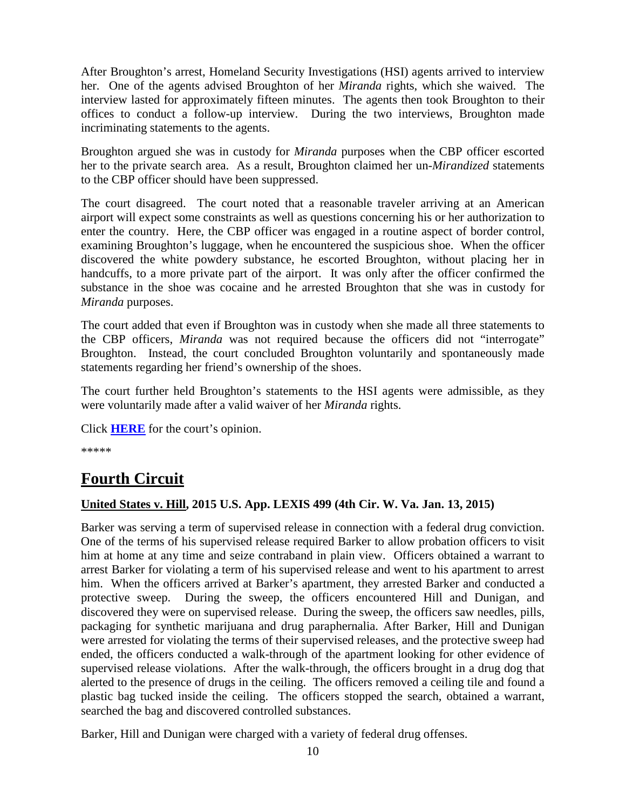After Broughton's arrest, Homeland Security Investigations (HSI) agents arrived to interview her. One of the agents advised Broughton of her *Miranda* rights, which she waived. The interview lasted for approximately fifteen minutes. The agents then took Broughton to their offices to conduct a follow-up interview. During the two interviews, Broughton made incriminating statements to the agents.

Broughton argued she was in custody for *Miranda* purposes when the CBP officer escorted her to the private search area. As a result, Broughton claimed her un-*Mirandized* statements to the CBP officer should have been suppressed.

The court disagreed. The court noted that a reasonable traveler arriving at an American airport will expect some constraints as well as questions concerning his or her authorization to enter the country. Here, the CBP officer was engaged in a routine aspect of border control, examining Broughton's luggage, when he encountered the suspicious shoe. When the officer discovered the white powdery substance, he escorted Broughton, without placing her in handcuffs, to a more private part of the airport. It was only after the officer confirmed the substance in the shoe was cocaine and he arrested Broughton that she was in custody for *Miranda* purposes.

The court added that even if Broughton was in custody when she made all three statements to the CBP officers, *Miranda* was not required because the officers did not "interrogate" Broughton. Instead, the court concluded Broughton voluntarily and spontaneously made statements regarding her friend's ownership of the shoes.

The court further held Broughton's statements to the HSI agents were admissible, as they were voluntarily made after a valid waiver of her *Miranda* rights.

Click **[HERE](http://federal-circuits.vlex.com/vid/united-states-v-broughton-553533290)** for the court's opinion.

\*\*\*\*\*

# **Fourth Circuit**

#### <span id="page-9-0"></span>**United States v. Hill, 2015 U.S. App. LEXIS 499 (4th Cir. W. Va. Jan. 13, 2015)**

Barker was serving a term of supervised release in connection with a federal drug conviction. One of the terms of his supervised release required Barker to allow probation officers to visit him at home at any time and seize contraband in plain view. Officers obtained a warrant to arrest Barker for violating a term of his supervised release and went to his apartment to arrest him. When the officers arrived at Barker's apartment, they arrested Barker and conducted a protective sweep. During the sweep, the officers encountered Hill and Dunigan, and discovered they were on supervised release. During the sweep, the officers saw needles, pills, packaging for synthetic marijuana and drug paraphernalia. After Barker, Hill and Dunigan were arrested for violating the terms of their supervised releases, and the protective sweep had ended, the officers conducted a walk-through of the apartment looking for other evidence of supervised release violations. After the walk-through, the officers brought in a drug dog that alerted to the presence of drugs in the ceiling. The officers removed a ceiling tile and found a plastic bag tucked inside the ceiling. The officers stopped the search, obtained a warrant, searched the bag and discovered controlled substances.

Barker, Hill and Dunigan were charged with a variety of federal drug offenses.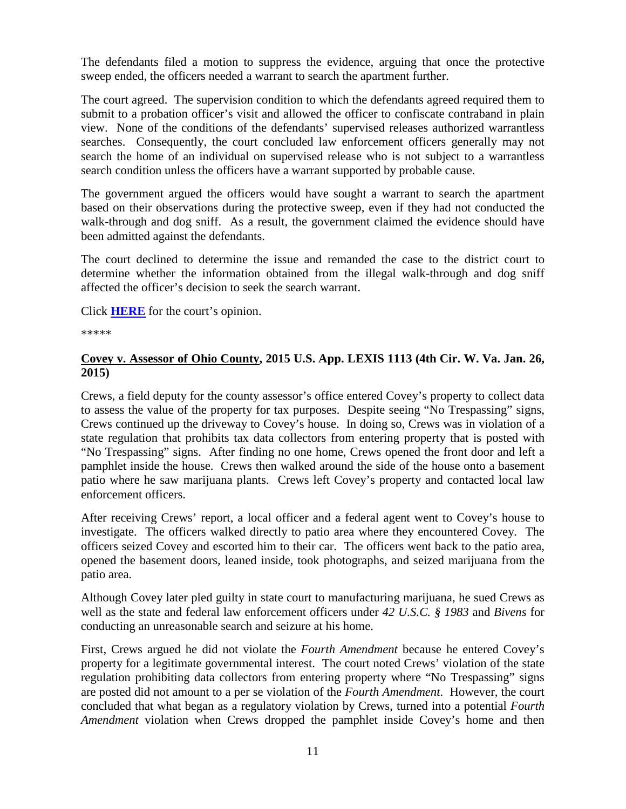The defendants filed a motion to suppress the evidence, arguing that once the protective sweep ended, the officers needed a warrant to search the apartment further.

The court agreed. The supervision condition to which the defendants agreed required them to submit to a probation officer's visit and allowed the officer to confiscate contraband in plain view. None of the conditions of the defendants' supervised releases authorized warrantless searches. Consequently, the court concluded law enforcement officers generally may not search the home of an individual on supervised release who is not subject to a warrantless search condition unless the officers have a warrant supported by probable cause.

The government argued the officers would have sought a warrant to search the apartment based on their observations during the protective sweep, even if they had not conducted the walk-through and dog sniff. As a result, the government claimed the evidence should have been admitted against the defendants.

The court declined to determine the issue and remanded the case to the district court to determine whether the information obtained from the illegal walk-through and dog sniff affected the officer's decision to seek the search warrant.

Click **[HERE](http://cases.justia.com/federal/appellate-courts/ca4/13-4806/13-4806-2015-01-13.pdf?ts=1421177426)** for the court's opinion.

\*\*\*\*\*

#### <span id="page-10-0"></span>**Covey v. Assessor of Ohio County, 2015 U.S. App. LEXIS 1113 (4th Cir. W. Va. Jan. 26, 2015)**

Crews, a field deputy for the county assessor's office entered Covey's property to collect data to assess the value of the property for tax purposes. Despite seeing "No Trespassing" signs, Crews continued up the driveway to Covey's house. In doing so, Crews was in violation of a state regulation that prohibits tax data collectors from entering property that is posted with "No Trespassing" signs. After finding no one home, Crews opened the front door and left a pamphlet inside the house. Crews then walked around the side of the house onto a basement patio where he saw marijuana plants. Crews left Covey's property and contacted local law enforcement officers.

After receiving Crews' report, a local officer and a federal agent went to Covey's house to investigate. The officers walked directly to patio area where they encountered Covey. The officers seized Covey and escorted him to their car. The officers went back to the patio area, opened the basement doors, leaned inside, took photographs, and seized marijuana from the patio area.

Although Covey later pled guilty in state court to manufacturing marijuana, he sued Crews as well as the state and federal law enforcement officers under *42 U.S.C. § 1983* and *Bivens* for conducting an unreasonable search and seizure at his home.

First, Crews argued he did not violate the *Fourth Amendment* because he entered Covey's property for a legitimate governmental interest. The court noted Crews' violation of the state regulation prohibiting data collectors from entering property where "No Trespassing" signs are posted did not amount to a per se violation of the *Fourth Amendment*. However, the court concluded that what began as a regulatory violation by Crews, turned into a potential *Fourth Amendment* violation when Crews dropped the pamphlet inside Covey's home and then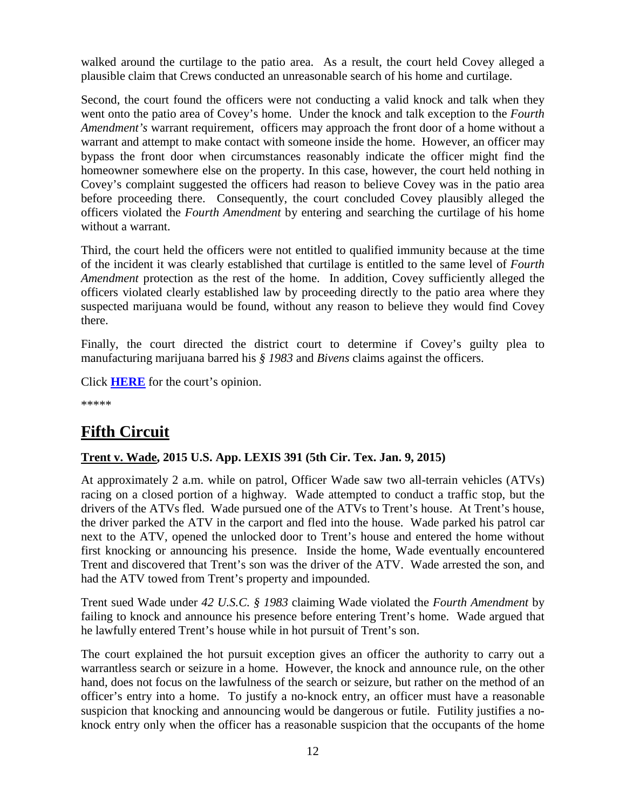walked around the curtilage to the patio area. As a result, the court held Covey alleged a plausible claim that Crews conducted an unreasonable search of his home and curtilage.

Second, the court found the officers were not conducting a valid knock and talk when they went onto the patio area of Covey's home. Under the knock and talk exception to the *Fourth Amendment's* warrant requirement, officers may approach the front door of a home without a warrant and attempt to make contact with someone inside the home. However, an officer may bypass the front door when circumstances reasonably indicate the officer might find the homeowner somewhere else on the property. In this case, however, the court held nothing in Covey's complaint suggested the officers had reason to believe Covey was in the patio area before proceeding there. Consequently, the court concluded Covey plausibly alleged the officers violated the *Fourth Amendment* by entering and searching the curtilage of his home without a warrant.

Third, the court held the officers were not entitled to qualified immunity because at the time of the incident it was clearly established that curtilage is entitled to the same level of *Fourth Amendment* protection as the rest of the home. In addition, Covey sufficiently alleged the officers violated clearly established law by proceeding directly to the patio area where they suspected marijuana would be found, without any reason to believe they would find Covey there.

Finally, the court directed the district court to determine if Covey's guilty plea to manufacturing marijuana barred his *§ 1983* and *Bivens* claims against the officers.

Click **[HERE](http://cases.justia.com/federal/appellate-courts/ca4/13-1227/13-1227-2015-01-26.pdf?ts=1422302487)** for the court's opinion.

\*\*\*\*\*

# **Fifth Circuit**

#### <span id="page-11-0"></span>**Trent v. Wade, 2015 U.S. App. LEXIS 391 (5th Cir. Tex. Jan. 9, 2015)**

At approximately 2 a.m. while on patrol, Officer Wade saw two all-terrain vehicles (ATVs) racing on a closed portion of a highway. Wade attempted to conduct a traffic stop, but the drivers of the ATVs fled. Wade pursued one of the ATVs to Trent's house. At Trent's house, the driver parked the ATV in the carport and fled into the house. Wade parked his patrol car next to the ATV, opened the unlocked door to Trent's house and entered the home without first knocking or announcing his presence. Inside the home, Wade eventually encountered Trent and discovered that Trent's son was the driver of the ATV. Wade arrested the son, and had the ATV towed from Trent's property and impounded.

Trent sued Wade under *42 U.S.C. § 1983* claiming Wade violated the *Fourth Amendment* by failing to knock and announce his presence before entering Trent's home. Wade argued that he lawfully entered Trent's house while in hot pursuit of Trent's son.

The court explained the hot pursuit exception gives an officer the authority to carry out a warrantless search or seizure in a home. However, the knock and announce rule, on the other hand, does not focus on the lawfulness of the search or seizure, but rather on the method of an officer's entry into a home. To justify a no-knock entry, an officer must have a reasonable suspicion that knocking and announcing would be dangerous or futile. Futility justifies a noknock entry only when the officer has a reasonable suspicion that the occupants of the home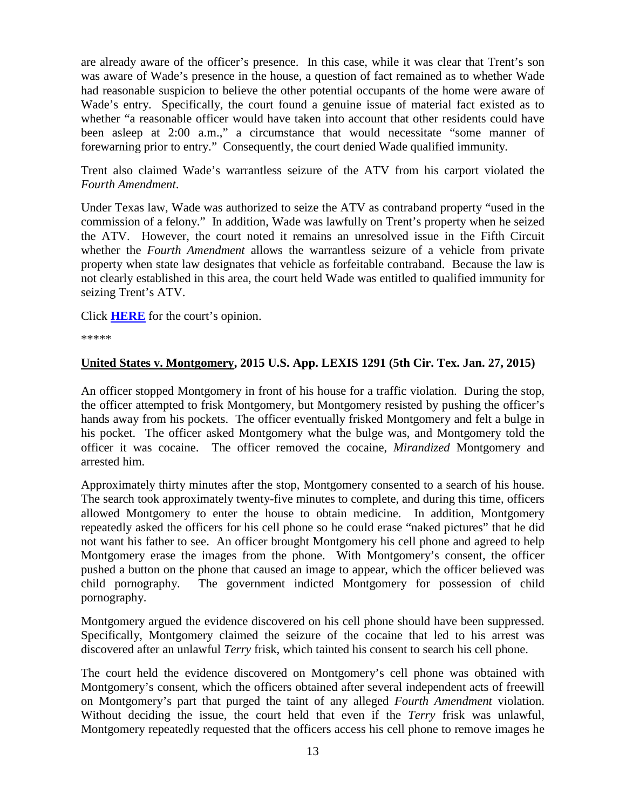are already aware of the officer's presence. In this case, while it was clear that Trent's son was aware of Wade's presence in the house, a question of fact remained as to whether Wade had reasonable suspicion to believe the other potential occupants of the home were aware of Wade's entry. Specifically, the court found a genuine issue of material fact existed as to whether "a reasonable officer would have taken into account that other residents could have been asleep at 2:00 a.m.," a circumstance that would necessitate "some manner of forewarning prior to entry." Consequently, the court denied Wade qualified immunity.

Trent also claimed Wade's warrantless seizure of the ATV from his carport violated the *Fourth Amendment*.

Under Texas law, Wade was authorized to seize the ATV as contraband property "used in the commission of a felony." In addition, Wade was lawfully on Trent's property when he seized the ATV. However, the court noted it remains an unresolved issue in the Fifth Circuit whether the *Fourth Amendment* allows the warrantless seizure of a vehicle from private property when state law designates that vehicle as forfeitable contraband. Because the law is not clearly established in this area, the court held Wade was entitled to qualified immunity for seizing Trent's ATV.

Click **[HERE](http://cases.justia.com/federal/appellate-courts/ca5/13-10960/13-10960-2015-01-09.pdf?ts=1421067644)** for the court's opinion.

\*\*\*\*\*

#### <span id="page-12-0"></span>**United States v. Montgomery, 2015 U.S. App. LEXIS 1291 (5th Cir. Tex. Jan. 27, 2015)**

An officer stopped Montgomery in front of his house for a traffic violation. During the stop, the officer attempted to frisk Montgomery, but Montgomery resisted by pushing the officer's hands away from his pockets. The officer eventually frisked Montgomery and felt a bulge in his pocket. The officer asked Montgomery what the bulge was, and Montgomery told the officer it was cocaine. The officer removed the cocaine, *Mirandized* Montgomery and arrested him.

Approximately thirty minutes after the stop, Montgomery consented to a search of his house. The search took approximately twenty-five minutes to complete, and during this time, officers allowed Montgomery to enter the house to obtain medicine. In addition, Montgomery repeatedly asked the officers for his cell phone so he could erase "naked pictures" that he did not want his father to see. An officer brought Montgomery his cell phone and agreed to help Montgomery erase the images from the phone. With Montgomery's consent, the officer pushed a button on the phone that caused an image to appear, which the officer believed was child pornography. The government indicted Montgomery for possession of child pornography.

Montgomery argued the evidence discovered on his cell phone should have been suppressed. Specifically, Montgomery claimed the seizure of the cocaine that led to his arrest was discovered after an unlawful *Terry* frisk, which tainted his consent to search his cell phone.

The court held the evidence discovered on Montgomery's cell phone was obtained with Montgomery's consent, which the officers obtained after several independent acts of freewill on Montgomery's part that purged the taint of any alleged *Fourth Amendment* violation. Without deciding the issue, the court held that even if the *Terry* frisk was unlawful, Montgomery repeatedly requested that the officers access his cell phone to remove images he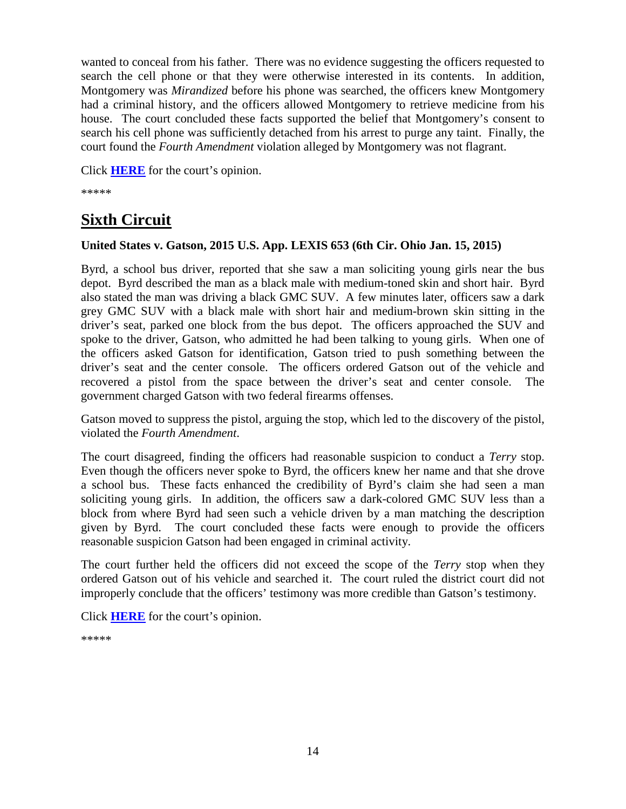wanted to conceal from his father. There was no evidence suggesting the officers requested to search the cell phone or that they were otherwise interested in its contents. In addition, Montgomery was *Mirandized* before his phone was searched, the officers knew Montgomery had a criminal history, and the officers allowed Montgomery to retrieve medicine from his house. The court concluded these facts supported the belief that Montgomery's consent to search his cell phone was sufficiently detached from his arrest to purge any taint. Finally, the court found the *Fourth Amendment* violation alleged by Montgomery was not flagrant.

Click **[HERE](http://cases.justia.com/federal/appellate-courts/ca5/13-40880/13-40880-2015-01-27.pdf?ts=1422450352)** for the court's opinion.

\*\*\*\*\*

## **Sixth Circuit**

#### <span id="page-13-0"></span>**United States v. Gatson, 2015 U.S. App. LEXIS 653 (6th Cir. Ohio Jan. 15, 2015)**

Byrd, a school bus driver, reported that she saw a man soliciting young girls near the bus depot. Byrd described the man as a black male with medium-toned skin and short hair. Byrd also stated the man was driving a black GMC SUV. A few minutes later, officers saw a dark grey GMC SUV with a black male with short hair and medium-brown skin sitting in the driver's seat, parked one block from the bus depot. The officers approached the SUV and spoke to the driver, Gatson, who admitted he had been talking to young girls. When one of the officers asked Gatson for identification, Gatson tried to push something between the driver's seat and the center console. The officers ordered Gatson out of the vehicle and recovered a pistol from the space between the driver's seat and center console. The government charged Gatson with two federal firearms offenses.

Gatson moved to suppress the pistol, arguing the stop, which led to the discovery of the pistol, violated the *Fourth Amendment*.

The court disagreed, finding the officers had reasonable suspicion to conduct a *Terry* stop. Even though the officers never spoke to Byrd, the officers knew her name and that she drove a school bus. These facts enhanced the credibility of Byrd's claim she had seen a man soliciting young girls. In addition, the officers saw a dark-colored GMC SUV less than a block from where Byrd had seen such a vehicle driven by a man matching the description given by Byrd. The court concluded these facts were enough to provide the officers reasonable suspicion Gatson had been engaged in criminal activity.

The court further held the officers did not exceed the scope of the *Terry* stop when they ordered Gatson out of his vehicle and searched it. The court ruled the district court did not improperly conclude that the officers' testimony was more credible than Gatson's testimony.

Click **[HERE](http://cases.justia.com/federal/appellate-courts/ca6/14-3227/14-3227-2015-01-15.pdf?ts=1421335855)** for the court's opinion.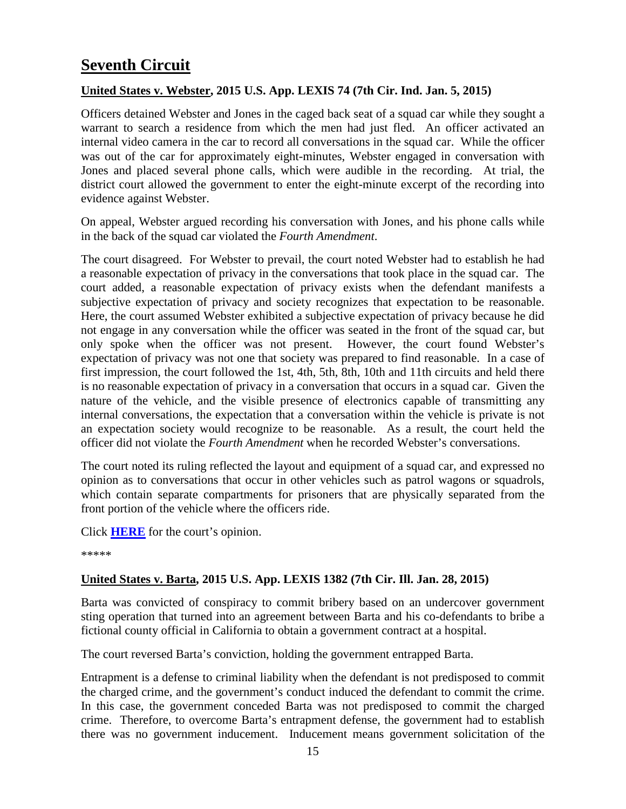# **Seventh Circuit**

#### <span id="page-14-0"></span>**United States v. Webster, 2015 U.S. App. LEXIS 74 (7th Cir. Ind. Jan. 5, 2015)**

Officers detained Webster and Jones in the caged back seat of a squad car while they sought a warrant to search a residence from which the men had just fled. An officer activated an internal video camera in the car to record all conversations in the squad car. While the officer was out of the car for approximately eight-minutes, Webster engaged in conversation with Jones and placed several phone calls, which were audible in the recording. At trial, the district court allowed the government to enter the eight-minute excerpt of the recording into evidence against Webster.

On appeal, Webster argued recording his conversation with Jones, and his phone calls while in the back of the squad car violated the *Fourth Amendment*.

The court disagreed. For Webster to prevail, the court noted Webster had to establish he had a reasonable expectation of privacy in the conversations that took place in the squad car. The court added, a reasonable expectation of privacy exists when the defendant manifests a subjective expectation of privacy and society recognizes that expectation to be reasonable. Here, the court assumed Webster exhibited a subjective expectation of privacy because he did not engage in any conversation while the officer was seated in the front of the squad car, but only spoke when the officer was not present. However, the court found Webster's expectation of privacy was not one that society was prepared to find reasonable. In a case of first impression, the court followed the 1st, 4th, 5th, 8th, 10th and 11th circuits and held there is no reasonable expectation of privacy in a conversation that occurs in a squad car. Given the nature of the vehicle, and the visible presence of electronics capable of transmitting any internal conversations, the expectation that a conversation within the vehicle is private is not an expectation society would recognize to be reasonable. As a result, the court held the officer did not violate the *Fourth Amendment* when he recorded Webster's conversations.

The court noted its ruling reflected the layout and equipment of a squad car, and expressed no opinion as to conversations that occur in other vehicles such as patrol wagons or squadrols, which contain separate compartments for prisoners that are physically separated from the front portion of the vehicle where the officers ride.

Click **[HERE](http://cases.justia.com/federal/appellate-courts/ca7/13-1927/13-1927-2015-01-05.pdf?ts=1420495243)** for the court's opinion.

\*\*\*\*\*

#### <span id="page-14-1"></span>**United States v. Barta, 2015 U.S. App. LEXIS 1382 (7th Cir. Ill. Jan. 28, 2015)**

Barta was convicted of conspiracy to commit bribery based on an undercover government sting operation that turned into an agreement between Barta and his co-defendants to bribe a fictional county official in California to obtain a government contract at a hospital.

The court reversed Barta's conviction, holding the government entrapped Barta.

Entrapment is a defense to criminal liability when the defendant is not predisposed to commit the charged crime, and the government's conduct induced the defendant to commit the crime. In this case, the government conceded Barta was not predisposed to commit the charged crime. Therefore, to overcome Barta's entrapment defense, the government had to establish there was no government inducement. Inducement means government solicitation of the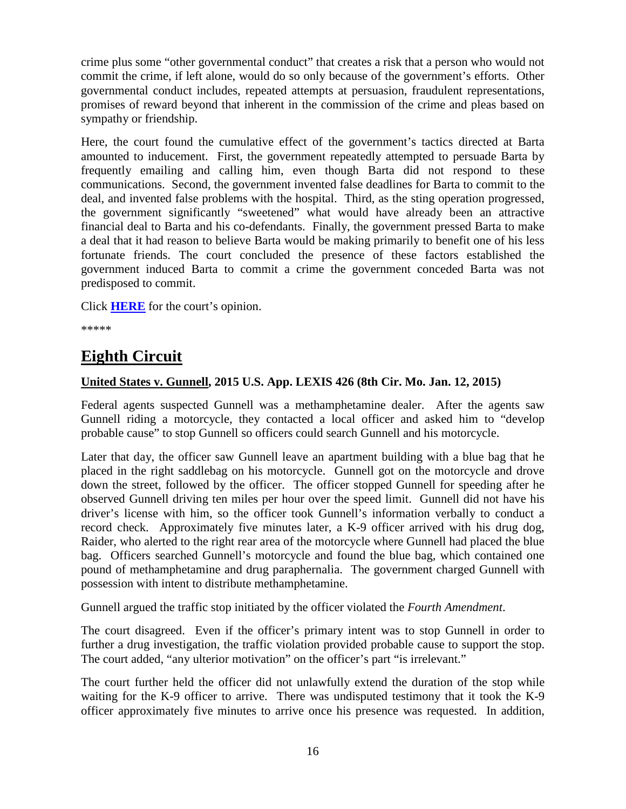crime plus some "other governmental conduct" that creates a risk that a person who would not commit the crime, if left alone, would do so only because of the government's efforts. Other governmental conduct includes, repeated attempts at persuasion, fraudulent representations, promises of reward beyond that inherent in the commission of the crime and pleas based on sympathy or friendship.

Here, the court found the cumulative effect of the government's tactics directed at Barta amounted to inducement. First, the government repeatedly attempted to persuade Barta by frequently emailing and calling him, even though Barta did not respond to these communications. Second, the government invented false deadlines for Barta to commit to the deal, and invented false problems with the hospital. Third, as the sting operation progressed, the government significantly "sweetened" what would have already been an attractive financial deal to Barta and his co-defendants. Finally, the government pressed Barta to make a deal that it had reason to believe Barta would be making primarily to benefit one of his less fortunate friends. The court concluded the presence of these factors established the government induced Barta to commit a crime the government conceded Barta was not predisposed to commit.

Click **[HERE](http://cases.justia.com/federal/appellate-courts/ca7/13-3208/13-3208-2015-01-28.pdf?ts=1422484257)** for the court's opinion.

\*\*\*\*\*

## <span id="page-15-0"></span>**Eighth Circuit**

#### <span id="page-15-1"></span>**United States v. Gunnell, 2015 U.S. App. LEXIS 426 (8th Cir. Mo. Jan. 12, 2015)**

Federal agents suspected Gunnell was a methamphetamine dealer. After the agents saw Gunnell riding a motorcycle, they contacted a local officer and asked him to "develop probable cause" to stop Gunnell so officers could search Gunnell and his motorcycle.

Later that day, the officer saw Gunnell leave an apartment building with a blue bag that he placed in the right saddlebag on his motorcycle. Gunnell got on the motorcycle and drove down the street, followed by the officer. The officer stopped Gunnell for speeding after he observed Gunnell driving ten miles per hour over the speed limit. Gunnell did not have his driver's license with him, so the officer took Gunnell's information verbally to conduct a record check. Approximately five minutes later, a K-9 officer arrived with his drug dog, Raider, who alerted to the right rear area of the motorcycle where Gunnell had placed the blue bag. Officers searched Gunnell's motorcycle and found the blue bag, which contained one pound of methamphetamine and drug paraphernalia. The government charged Gunnell with possession with intent to distribute methamphetamine.

Gunnell argued the traffic stop initiated by the officer violated the *Fourth Amendment*.

The court disagreed. Even if the officer's primary intent was to stop Gunnell in order to further a drug investigation, the traffic violation provided probable cause to support the stop. The court added, "any ulterior motivation" on the officer's part "is irrelevant."

The court further held the officer did not unlawfully extend the duration of the stop while waiting for the K-9 officer to arrive. There was undisputed testimony that it took the K-9 officer approximately five minutes to arrive once his presence was requested. In addition,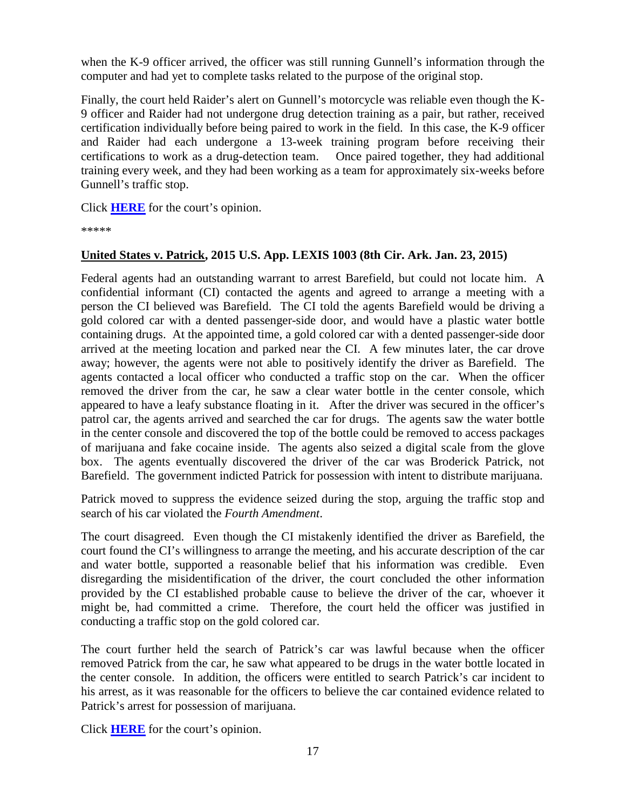when the K-9 officer arrived, the officer was still running Gunnell's information through the computer and had yet to complete tasks related to the purpose of the original stop.

Finally, the court held Raider's alert on Gunnell's motorcycle was reliable even though the K-9 officer and Raider had not undergone drug detection training as a pair, but rather, received certification individually before being paired to work in the field. In this case, the K-9 officer and Raider had each undergone a 13-week training program before receiving their certifications to work as a drug-detection team. Once paired together, they had additional training every week, and they had been working as a team for approximately six-weeks before Gunnell's traffic stop.

Click **[HERE](http://cases.justia.com/federal/appellate-courts/ca8/13-3234/13-3234-2015-01-12.pdf?ts=1421080271)** for the court's opinion.

\*\*\*\*\*

#### <span id="page-16-0"></span>**United States v. Patrick, 2015 U.S. App. LEXIS 1003 (8th Cir. Ark. Jan. 23, 2015)**

Federal agents had an outstanding warrant to arrest Barefield, but could not locate him. A confidential informant (CI) contacted the agents and agreed to arrange a meeting with a person the CI believed was Barefield. The CI told the agents Barefield would be driving a gold colored car with a dented passenger-side door, and would have a plastic water bottle containing drugs. At the appointed time, a gold colored car with a dented passenger-side door arrived at the meeting location and parked near the CI. A few minutes later, the car drove away; however, the agents were not able to positively identify the driver as Barefield. The agents contacted a local officer who conducted a traffic stop on the car. When the officer removed the driver from the car, he saw a clear water bottle in the center console, which appeared to have a leafy substance floating in it. After the driver was secured in the officer's patrol car, the agents arrived and searched the car for drugs. The agents saw the water bottle in the center console and discovered the top of the bottle could be removed to access packages of marijuana and fake cocaine inside. The agents also seized a digital scale from the glove box. The agents eventually discovered the driver of the car was Broderick Patrick, not Barefield. The government indicted Patrick for possession with intent to distribute marijuana.

Patrick moved to suppress the evidence seized during the stop, arguing the traffic stop and search of his car violated the *Fourth Amendment*.

The court disagreed. Even though the CI mistakenly identified the driver as Barefield, the court found the CI's willingness to arrange the meeting, and his accurate description of the car and water bottle, supported a reasonable belief that his information was credible. Even disregarding the misidentification of the driver, the court concluded the other information provided by the CI established probable cause to believe the driver of the car, whoever it might be, had committed a crime. Therefore, the court held the officer was justified in conducting a traffic stop on the gold colored car.

The court further held the search of Patrick's car was lawful because when the officer removed Patrick from the car, he saw what appeared to be drugs in the water bottle located in the center console. In addition, the officers were entitled to search Patrick's car incident to his arrest, as it was reasonable for the officers to believe the car contained evidence related to Patrick's arrest for possession of marijuana.

Click **[HERE](http://cases.justia.com/federal/appellate-courts/ca8/14-1247/14-1247-2015-01-23.pdf?ts=1422029084)** for the court's opinion.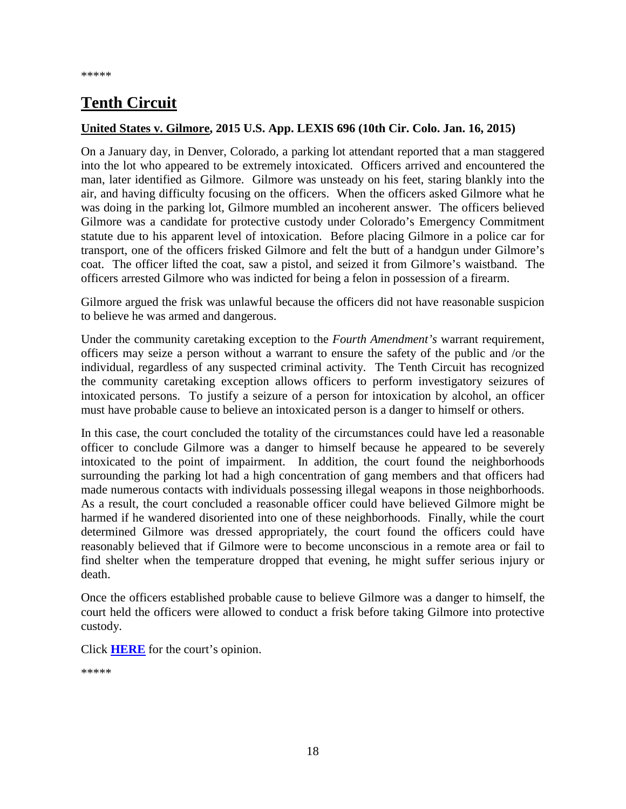# **Tenth Circuit**

#### <span id="page-17-0"></span>**United States v. Gilmore, 2015 U.S. App. LEXIS 696 (10th Cir. Colo. Jan. 16, 2015)**

On a January day, in Denver, Colorado, a parking lot attendant reported that a man staggered into the lot who appeared to be extremely intoxicated. Officers arrived and encountered the man, later identified as Gilmore. Gilmore was unsteady on his feet, staring blankly into the air, and having difficulty focusing on the officers. When the officers asked Gilmore what he was doing in the parking lot, Gilmore mumbled an incoherent answer. The officers believed Gilmore was a candidate for protective custody under Colorado's Emergency Commitment statute due to his apparent level of intoxication. Before placing Gilmore in a police car for transport, one of the officers frisked Gilmore and felt the butt of a handgun under Gilmore's coat. The officer lifted the coat, saw a pistol, and seized it from Gilmore's waistband. The officers arrested Gilmore who was indicted for being a felon in possession of a firearm.

Gilmore argued the frisk was unlawful because the officers did not have reasonable suspicion to believe he was armed and dangerous.

Under the community caretaking exception to the *Fourth Amendment's* warrant requirement, officers may seize a person without a warrant to ensure the safety of the public and /or the individual, regardless of any suspected criminal activity. The Tenth Circuit has recognized the community caretaking exception allows officers to perform investigatory seizures of intoxicated persons. To justify a seizure of a person for intoxication by alcohol, an officer must have probable cause to believe an intoxicated person is a danger to himself or others.

In this case, the court concluded the totality of the circumstances could have led a reasonable officer to conclude Gilmore was a danger to himself because he appeared to be severely intoxicated to the point of impairment. In addition, the court found the neighborhoods surrounding the parking lot had a high concentration of gang members and that officers had made numerous contacts with individuals possessing illegal weapons in those neighborhoods. As a result, the court concluded a reasonable officer could have believed Gilmore might be harmed if he wandered disoriented into one of these neighborhoods. Finally, while the court determined Gilmore was dressed appropriately, the court found the officers could have reasonably believed that if Gilmore were to become unconscious in a remote area or fail to find shelter when the temperature dropped that evening, he might suffer serious injury or death.

Once the officers established probable cause to believe Gilmore was a danger to himself, the court held the officers were allowed to conduct a frisk before taking Gilmore into protective custody.

Click **[HERE](http://cases.justia.com/federal/appellate-courts/ca10/14-1088/14-1088-2015-01-16.pdf?ts=1421428145)** for the court's opinion.